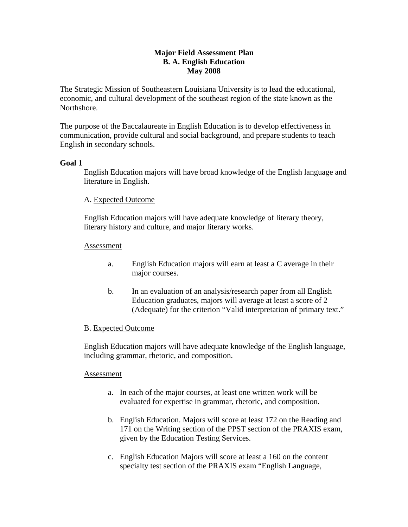# **Major Field Assessment Plan B. A. English Education May 2008**

The Strategic Mission of Southeastern Louisiana University is to lead the educational, economic, and cultural development of the southeast region of the state known as the Northshore.

The purpose of the Baccalaureate in English Education is to develop effectiveness in communication, provide cultural and social background, and prepare students to teach English in secondary schools.

## **Goal 1**

English Education majors will have broad knowledge of the English language and literature in English.

## A. Expected Outcome

English Education majors will have adequate knowledge of literary theory, literary history and culture, and major literary works.

## Assessment

- a. English Education majors will earn at least a C average in their major courses.
- b. In an evaluation of an analysis/research paper from all English Education graduates, majors will average at least a score of 2 (Adequate) for the criterion "Valid interpretation of primary text."

# B. Expected Outcome

English Education majors will have adequate knowledge of the English language, including grammar, rhetoric, and composition.

## Assessment

- a. In each of the major courses, at least one written work will be evaluated for expertise in grammar, rhetoric, and composition.
- b. English Education. Majors will score at least 172 on the Reading and 171 on the Writing section of the PPST section of the PRAXIS exam, given by the Education Testing Services.
- c. English Education Majors will score at least a 160 on the content specialty test section of the PRAXIS exam "English Language,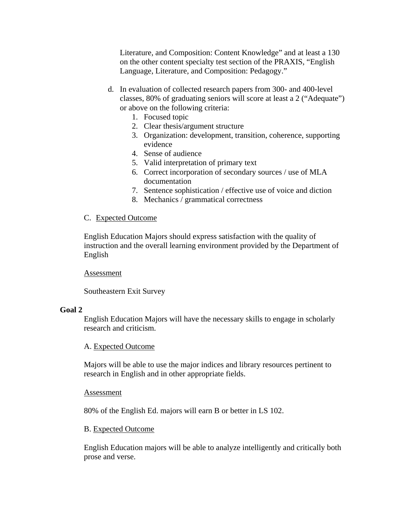Literature, and Composition: Content Knowledge" and at least a 130 on the other content specialty test section of the PRAXIS, "English Language, Literature, and Composition: Pedagogy."

- d. In evaluation of collected research papers from 300- and 400-level classes, 80% of graduating seniors will score at least a 2 ("Adequate") or above on the following criteria:
	- 1. Focused topic
	- 2. Clear thesis/argument structure
	- 3. Organization: development, transition, coherence, supporting evidence
	- 4. Sense of audience
	- 5. Valid interpretation of primary text
	- 6. Correct incorporation of secondary sources / use of MLA documentation
	- 7. Sentence sophistication / effective use of voice and diction
	- 8. Mechanics / grammatical correctness

#### C. Expected Outcome

English Education Majors should express satisfaction with the quality of instruction and the overall learning environment provided by the Department of English

#### Assessment

Southeastern Exit Survey

#### **Goal 2**

English Education Majors will have the necessary skills to engage in scholarly research and criticism.

#### A. Expected Outcome

Majors will be able to use the major indices and library resources pertinent to research in English and in other appropriate fields.

#### Assessment

80% of the English Ed. majors will earn B or better in LS 102.

#### B. Expected Outcome

English Education majors will be able to analyze intelligently and critically both prose and verse.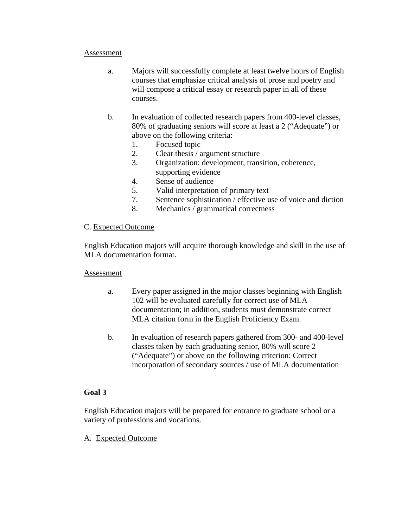## Assessment

- a. Majors will successfully complete at least twelve hours of English courses that emphasize critical analysis of prose and poetry and will compose a critical essay or research paper in all of these courses.
- b. In evaluation of collected research papers from 400-level classes, 80% of graduating seniors will score at least a 2 ("Adequate") or above on the following criteria:
	- 1. Focused topic
	- 2. Clear thesis / argument structure
	- 3. Organization: development, transition, coherence, supporting evidence
	- 4. Sense of audience
	- 5. Valid interpretation of primary text
	- 7. Sentence sophistication / effective use of voice and diction
	- 8. Mechanics / grammatical correctness

## C. Expected Outcome

English Education majors will acquire thorough knowledge and skill in the use of MLA documentation format.

## Assessment

- a. Every paper assigned in the major classes beginning with English 102 will be evaluated carefully for correct use of MLA documentation; in addition, students must demonstrate correct MLA citation form in the English Proficiency Exam.
- b. In evaluation of research papers gathered from 300- and 400-level classes taken by each graduating senior, 80% will score 2 ("Adequate") or above on the following criterion: Correct incorporation of secondary sources / use of MLA documentation

## **Goal 3**

English Education majors will be prepared for entrance to graduate school or a variety of professions and vocations.

A. Expected Outcome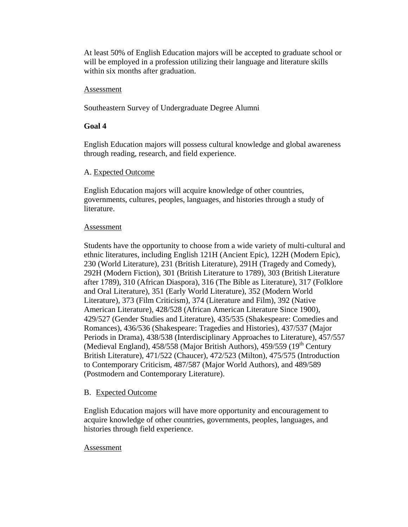At least 50% of English Education majors will be accepted to graduate school or will be employed in a profession utilizing their language and literature skills within six months after graduation.

#### Assessment

Southeastern Survey of Undergraduate Degree Alumni

## **Goal 4**

English Education majors will possess cultural knowledge and global awareness through reading, research, and field experience.

## A. Expected Outcome

English Education majors will acquire knowledge of other countries, governments, cultures, peoples, languages, and histories through a study of literature.

## Assessment

Students have the opportunity to choose from a wide variety of multi-cultural and ethnic literatures, including English 121H (Ancient Epic), 122H (Modern Epic), 230 (World Literature), 231 (British Literature), 291H (Tragedy and Comedy), 292H (Modern Fiction), 301 (British Literature to 1789), 303 (British Literature after 1789), 310 (African Diaspora), 316 (The Bible as Literature), 317 (Folklore and Oral Literature), 351 (Early World Literature), 352 (Modern World Literature), 373 (Film Criticism), 374 (Literature and Film), 392 (Native American Literature), 428/528 (African American Literature Since 1900), 429/527 (Gender Studies and Literature), 435/535 (Shakespeare: Comedies and Romances), 436/536 (Shakespeare: Tragedies and Histories), 437/537 (Major Periods in Drama), 438/538 (Interdisciplinary Approaches to Literature), 457/557 (Medieval England), 458/558 (Major British Authors), 459/559 (19<sup>th</sup> Century British Literature), 471/522 (Chaucer), 472/523 (Milton), 475/575 (Introduction to Contemporary Criticism, 487/587 (Major World Authors), and 489/589 (Postmodern and Contemporary Literature).

# B. Expected Outcome

English Education majors will have more opportunity and encouragement to acquire knowledge of other countries, governments, peoples, languages, and histories through field experience.

## Assessment